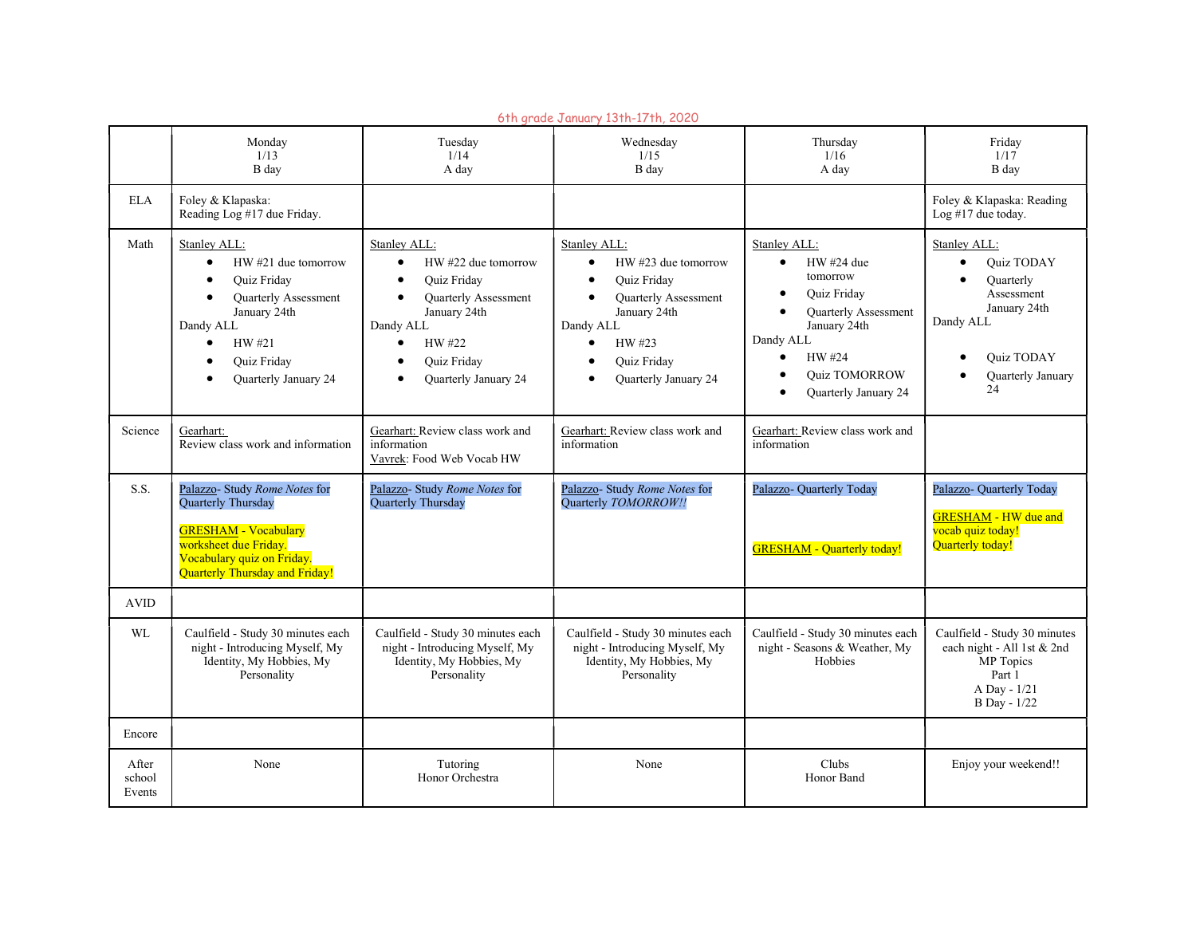|                           | 6th grade January 13th-17th, 2020                                                                                                                                                                                                   |                                                                                                                                                                                                                                   |                                                                                                                                                                                                                                                               |                                                                                                                                                                                                                                                                  |                                                                                                                                                              |  |  |  |  |
|---------------------------|-------------------------------------------------------------------------------------------------------------------------------------------------------------------------------------------------------------------------------------|-----------------------------------------------------------------------------------------------------------------------------------------------------------------------------------------------------------------------------------|---------------------------------------------------------------------------------------------------------------------------------------------------------------------------------------------------------------------------------------------------------------|------------------------------------------------------------------------------------------------------------------------------------------------------------------------------------------------------------------------------------------------------------------|--------------------------------------------------------------------------------------------------------------------------------------------------------------|--|--|--|--|
|                           | Monday<br>1/13<br>B day                                                                                                                                                                                                             | Tuesday<br>1/14<br>A day                                                                                                                                                                                                          | Wednesday<br>1/15<br>B day                                                                                                                                                                                                                                    | Thursday<br>$1/16$<br>A day                                                                                                                                                                                                                                      | Friday<br>1/17<br>B day                                                                                                                                      |  |  |  |  |
| <b>ELA</b>                | Foley & Klapaska:<br>Reading Log #17 due Friday.                                                                                                                                                                                    |                                                                                                                                                                                                                                   |                                                                                                                                                                                                                                                               |                                                                                                                                                                                                                                                                  | Foley & Klapaska: Reading<br>Log #17 due today.                                                                                                              |  |  |  |  |
| Math                      | Stanley ALL:<br>$HW$ #21 due tomorrow<br>$\bullet$<br><b>Quiz Friday</b><br>$\bullet$<br><b>Quarterly Assessment</b><br>January 24th<br>Dandy ALL<br>HW #21<br>$\bullet$<br><b>Quiz Friday</b><br>Quarterly January 24<br>$\bullet$ | Stanley ALL:<br>HW #22 due tomorrow<br>$\bullet$<br><b>Quiz Friday</b><br>$\bullet$<br><b>Quarterly Assessment</b><br>$\bullet$<br>January 24th<br>Dandy ALL<br>HW #22<br>$\bullet$<br><b>Quiz Friday</b><br>Quarterly January 24 | Stanley ALL:<br>$HW$ #23 due tomorrow<br>$\bullet$<br><b>Quiz Friday</b><br>$\bullet$<br><b>Ouarterly Assessment</b><br>$\bullet$<br>January 24th<br>Dandy ALL<br>HW #23<br>$\bullet$<br><b>Quiz Friday</b><br>$\bullet$<br>Quarterly January 24<br>$\bullet$ | Stanley ALL:<br>HW #24 due<br>$\bullet$<br>tomorrow<br><b>Quiz Friday</b><br>$\bullet$<br>$\bullet$<br>Quarterly Assessment<br>January 24th<br>Dandy ALL<br>HW #24<br>$\bullet$<br><b>Ouiz TOMORROW</b><br>$\bullet$<br><b>Ouarterly January 24</b><br>$\bullet$ | Stanley ALL:<br>Quiz TODAY<br>$\bullet$<br><b>Quarterly</b><br>$\bullet$<br>Assessment<br>January 24th<br>Dandy ALL<br>Quiz TODAY<br>Quarterly January<br>24 |  |  |  |  |
| Science                   | Gearhart:<br>Review class work and information                                                                                                                                                                                      | Gearhart: Review class work and<br>information<br>Vavrek: Food Web Vocab HW                                                                                                                                                       | Gearhart: Review class work and<br>information                                                                                                                                                                                                                | Gearhart: Review class work and<br>information                                                                                                                                                                                                                   |                                                                                                                                                              |  |  |  |  |
| S.S.                      | Palazzo- Study Rome Notes for<br><b>Quarterly Thursday</b><br><b>GRESHAM - Vocabulary</b><br>worksheet due Friday.<br>Vocabulary quiz on Friday.<br>Quarterly Thursday and Friday!                                                  | Palazzo- Study Rome Notes for<br><b>Ouarterly Thursday</b>                                                                                                                                                                        | Palazzo- Study Rome Notes for<br>Quarterly TOMORROW!!                                                                                                                                                                                                         | Palazzo- Quarterly Today<br><b>GRESHAM</b> - Quarterly today!                                                                                                                                                                                                    | Palazzo- Quarterly Today<br><b>GRESHAM - HW due and</b><br>vocab quiz today!<br>Quarterly today!                                                             |  |  |  |  |
| <b>AVID</b>               |                                                                                                                                                                                                                                     |                                                                                                                                                                                                                                   |                                                                                                                                                                                                                                                               |                                                                                                                                                                                                                                                                  |                                                                                                                                                              |  |  |  |  |
| WL                        | Caulfield - Study 30 minutes each<br>night - Introducing Myself, My<br>Identity, My Hobbies, My<br>Personality                                                                                                                      | Caulfield - Study 30 minutes each<br>night - Introducing Myself, My<br>Identity, My Hobbies, My<br>Personality                                                                                                                    | Caulfield - Study 30 minutes each<br>night - Introducing Myself, My<br>Identity, My Hobbies, My<br>Personality                                                                                                                                                | Caulfield - Study 30 minutes each<br>night - Seasons & Weather, My<br>Hobbies                                                                                                                                                                                    | Caulfield - Study 30 minutes<br>each night - All 1st & 2nd<br>MP Topics<br>Part 1<br>A Day - 1/21<br>B Day - 1/22                                            |  |  |  |  |
| Encore                    |                                                                                                                                                                                                                                     |                                                                                                                                                                                                                                   |                                                                                                                                                                                                                                                               |                                                                                                                                                                                                                                                                  |                                                                                                                                                              |  |  |  |  |
| After<br>school<br>Events | None                                                                                                                                                                                                                                | Tutoring<br>Honor Orchestra                                                                                                                                                                                                       | None                                                                                                                                                                                                                                                          | Clubs<br>Honor Band                                                                                                                                                                                                                                              | Enjoy your weekend!!                                                                                                                                         |  |  |  |  |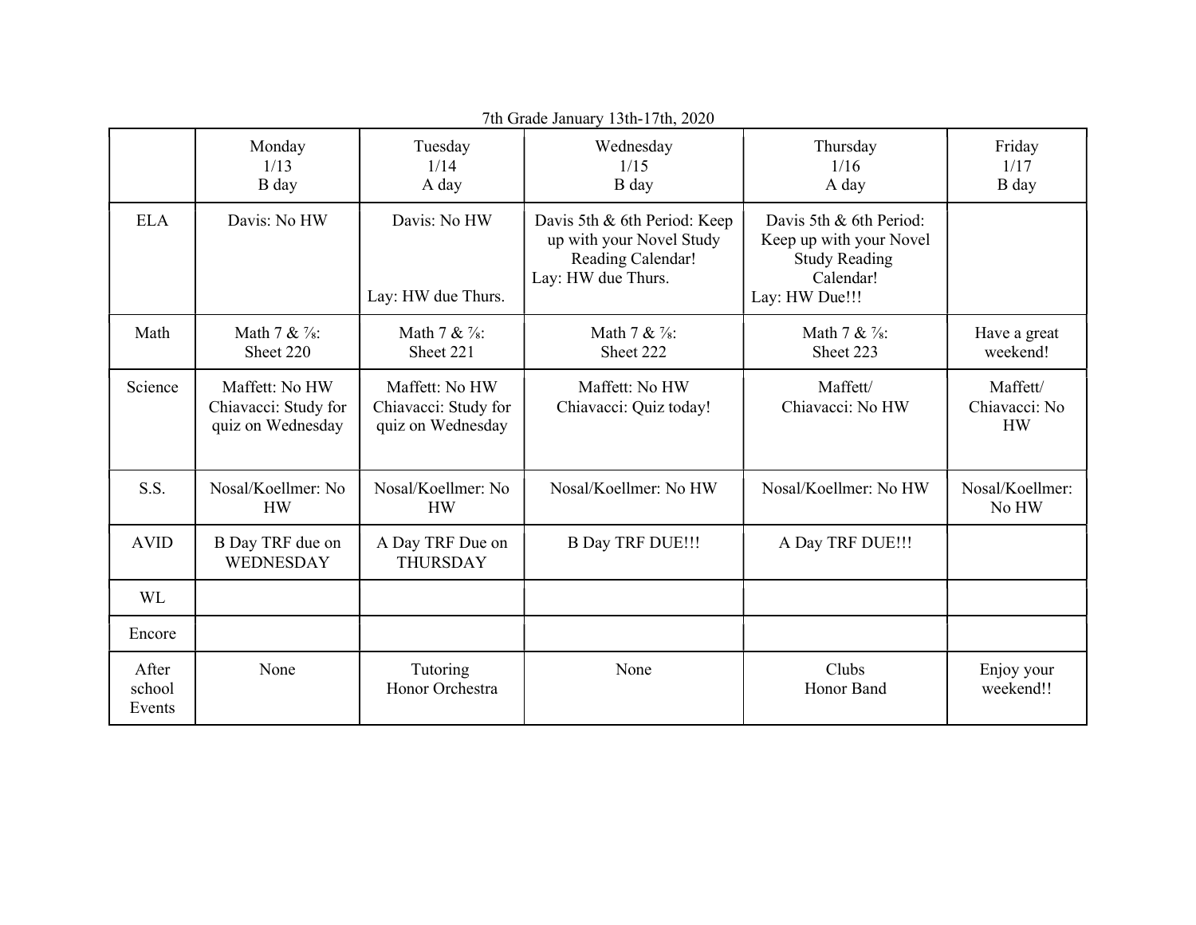| 7th Grade January 13th-17th, 2020 |                                                             |                                                             |                                                                                                     |                                                                                                           |                                        |  |  |  |
|-----------------------------------|-------------------------------------------------------------|-------------------------------------------------------------|-----------------------------------------------------------------------------------------------------|-----------------------------------------------------------------------------------------------------------|----------------------------------------|--|--|--|
|                                   | Monday<br>1/13<br>B day                                     | Tuesday<br>1/14<br>A day                                    | Wednesday<br>1/15<br>B day                                                                          | Thursday<br>1/16<br>A day                                                                                 | Friday<br>1/17<br>B day                |  |  |  |
| <b>ELA</b>                        | Davis: No HW                                                | Davis: No HW<br>Lay: HW due Thurs.                          | Davis 5th & 6th Period: Keep<br>up with your Novel Study<br>Reading Calendar!<br>Lay: HW due Thurs. | Davis 5th & 6th Period:<br>Keep up with your Novel<br><b>Study Reading</b><br>Calendar!<br>Lay: HW Due!!! |                                        |  |  |  |
| Math                              | Math 7 & $\frac{7}{8}$ :<br>Sheet 220                       | Math 7 & $\frac{7}{8}$ :<br>Sheet 221                       | Math $7 & 2$ :<br>Sheet 222                                                                         | Math 7 & $\frac{7}{8}$ :<br>Sheet 223                                                                     | Have a great<br>weekend!               |  |  |  |
| Science                           | Maffett: No HW<br>Chiavacci: Study for<br>quiz on Wednesday | Maffett: No HW<br>Chiavacci: Study for<br>quiz on Wednesday | Maffett: No HW<br>Chiavacci: Quiz today!                                                            | Maffett/<br>Chiavacci: No HW                                                                              | Maffett/<br>Chiavacci: No<br><b>HW</b> |  |  |  |
| S.S.                              | Nosal/Koellmer: No<br><b>HW</b>                             | Nosal/Koellmer: No<br><b>HW</b>                             | Nosal/Koellmer: No HW                                                                               | Nosal/Koellmer: No HW                                                                                     | Nosal/Koellmer:<br>No HW               |  |  |  |
| <b>AVID</b>                       | B Day TRF due on<br>WEDNESDAY                               | A Day TRF Due on<br><b>THURSDAY</b>                         | <b>B Day TRF DUE!!!</b>                                                                             | A Day TRF DUE!!!                                                                                          |                                        |  |  |  |
| <b>WL</b>                         |                                                             |                                                             |                                                                                                     |                                                                                                           |                                        |  |  |  |
| Encore                            |                                                             |                                                             |                                                                                                     |                                                                                                           |                                        |  |  |  |
| After<br>school<br>Events         | None                                                        | Tutoring<br>Honor Orchestra                                 | None                                                                                                | Clubs<br>Honor Band                                                                                       | Enjoy your<br>weekend!!                |  |  |  |